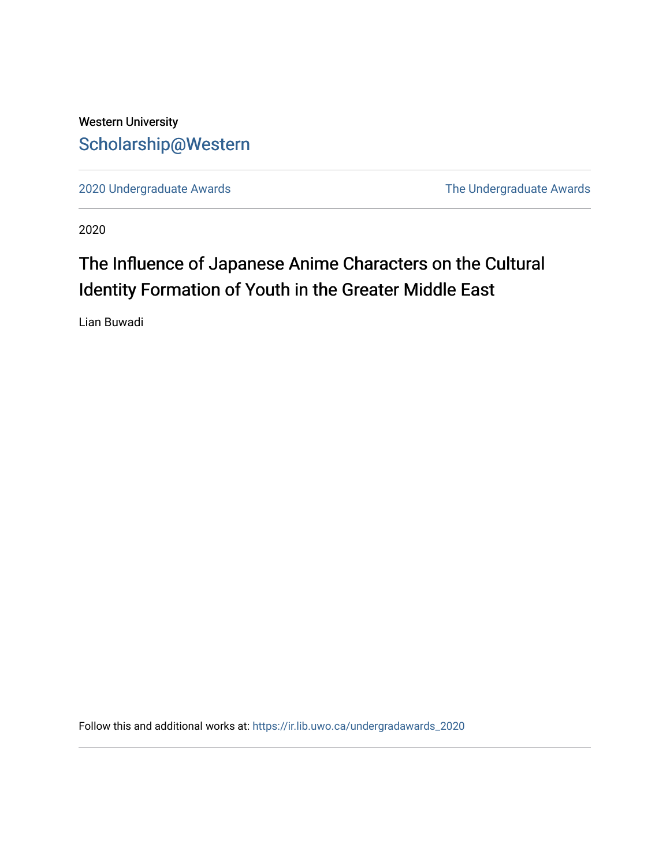# Western University [Scholarship@Western](https://ir.lib.uwo.ca/)

[2020 Undergraduate Awards](https://ir.lib.uwo.ca/undergradawards_2020) [The Undergraduate Awards](https://ir.lib.uwo.ca/ungradawards) 

2020

# The Influence of Japanese Anime Characters on the Cultural Identity Formation of Youth in the Greater Middle East

Lian Buwadi

Follow this and additional works at: [https://ir.lib.uwo.ca/undergradawards\\_2020](https://ir.lib.uwo.ca/undergradawards_2020?utm_source=ir.lib.uwo.ca%2Fundergradawards_2020%2F6&utm_medium=PDF&utm_campaign=PDFCoverPages)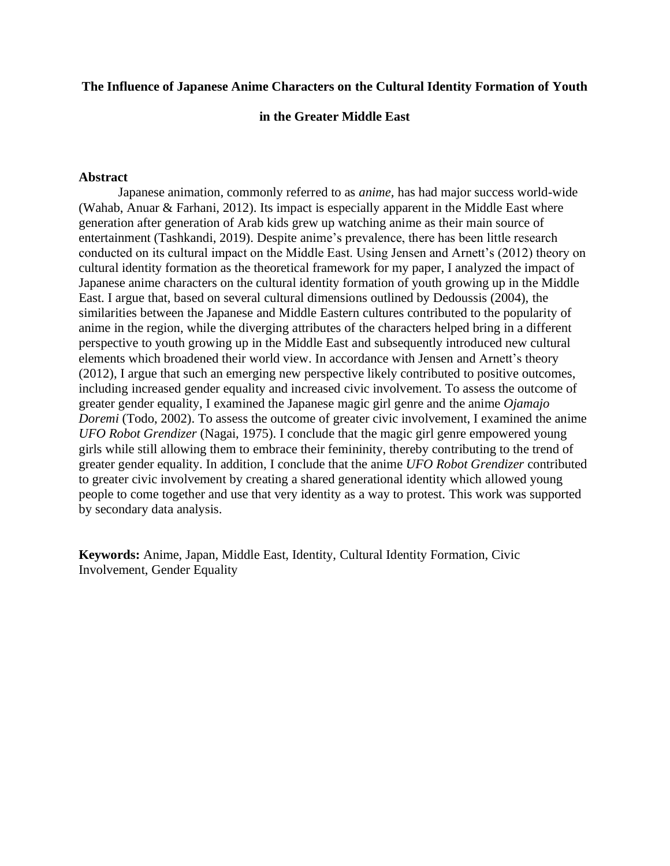# **The Influence of Japanese Anime Characters on the Cultural Identity Formation of Youth**

**in the Greater Middle East**

# **Abstract**

Japanese animation, commonly referred to as *anime,* has had major success world-wide (Wahab, Anuar & Farhani, 2012). Its impact is especially apparent in the Middle East where generation after generation of Arab kids grew up watching anime as their main source of entertainment (Tashkandi, 2019). Despite anime's prevalence, there has been little research conducted on its cultural impact on the Middle East. Using Jensen and Arnett's (2012) theory on cultural identity formation as the theoretical framework for my paper, I analyzed the impact of Japanese anime characters on the cultural identity formation of youth growing up in the Middle East. I argue that, based on several cultural dimensions outlined by Dedoussis (2004), the similarities between the Japanese and Middle Eastern cultures contributed to the popularity of anime in the region, while the diverging attributes of the characters helped bring in a different perspective to youth growing up in the Middle East and subsequently introduced new cultural elements which broadened their world view. In accordance with Jensen and Arnett's theory (2012), I argue that such an emerging new perspective likely contributed to positive outcomes, including increased gender equality and increased civic involvement. To assess the outcome of greater gender equality, I examined the Japanese magic girl genre and the anime *Ojamajo Doremi* (Todo, 2002). To assess the outcome of greater civic involvement, I examined the anime *UFO Robot Grendizer* (Nagai, 1975). I conclude that the magic girl genre empowered young girls while still allowing them to embrace their femininity, thereby contributing to the trend of greater gender equality. In addition, I conclude that the anime *UFO Robot Grendizer* contributed to greater civic involvement by creating a shared generational identity which allowed young people to come together and use that very identity as a way to protest. This work was supported by secondary data analysis.

**Keywords:** Anime, Japan, Middle East, Identity, Cultural Identity Formation, Civic Involvement, Gender Equality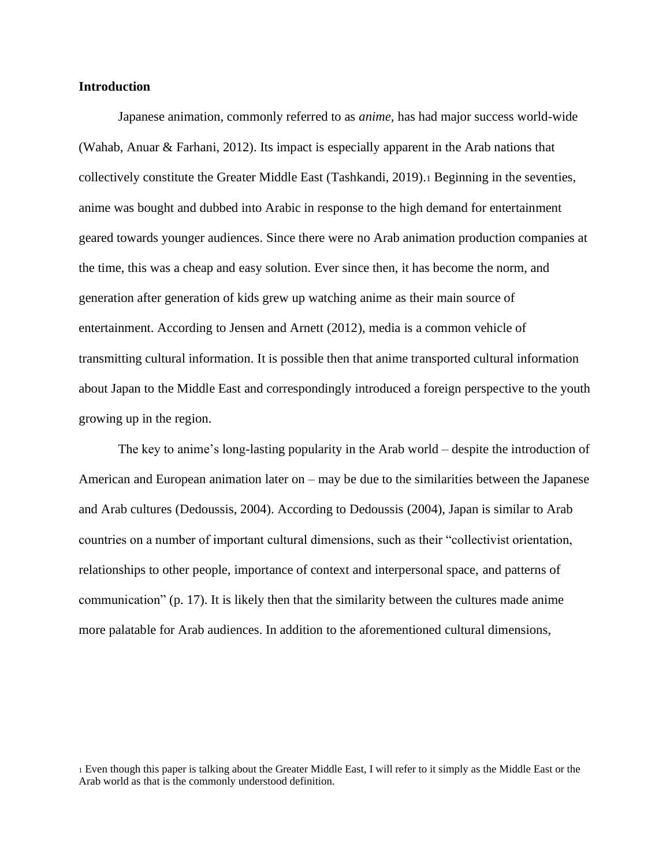### **Introduction**

Japanese animation, commonly referred to as *anime,* has had major success world-wide (Wahab, Anuar & Farhani, 2012). Its impact is especially apparent in the Arab nations that collectively constitute the Greater Middle East (Tashkandi, 2019).<sup>1</sup> Beginning in the seventies, anime was bought and dubbed into Arabic in response to the high demand for entertainment geared towards younger audiences. Since there were no Arab animation production companies at the time, this was a cheap and easy solution. Ever since then, it has become the norm, and generation after generation of kids grew up watching anime as their main source of entertainment. According to Jensen and Arnett (2012), media is a common vehicle of transmitting cultural information. It is possible then that anime transported cultural information about Japan to the Middle East and correspondingly introduced a foreign perspective to the youth growing up in the region.

The key to anime's long-lasting popularity in the Arab world – despite the introduction of American and European animation later on – may be due to the similarities between the Japanese and Arab cultures (Dedoussis, 2004). According to Dedoussis (2004), Japan is similar to Arab countries on a number of important cultural dimensions, such as their "collectivist orientation, relationships to other people, importance of context and interpersonal space, and patterns of communication" (p. 17). It is likely then that the similarity between the cultures made anime more palatable for Arab audiences. In addition to the aforementioned cultural dimensions,

<sup>1</sup> Even though this paper is talking about the Greater Middle East, I will refer to it simply as the Middle East or the Arab world as that is the commonly understood definition.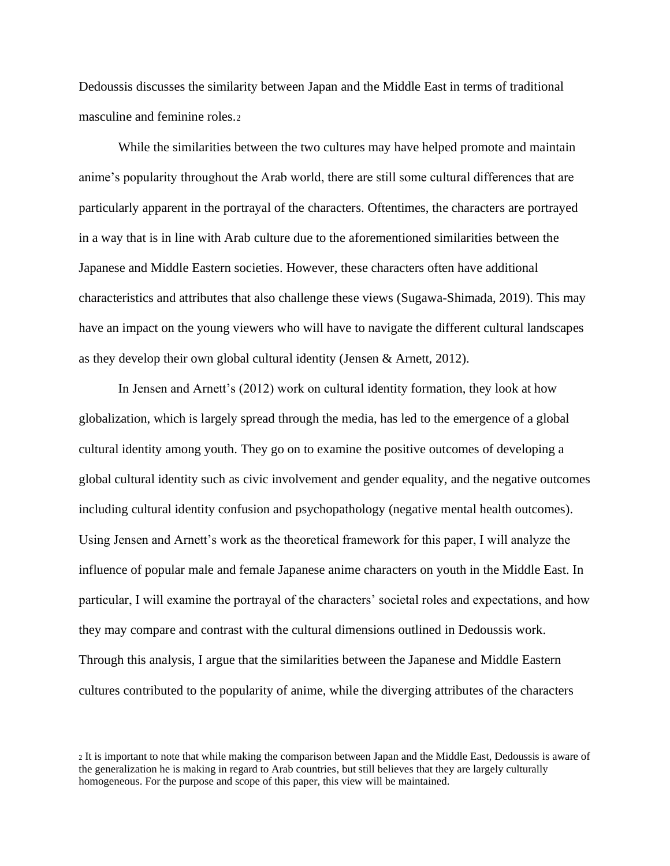Dedoussis discusses the similarity between Japan and the Middle East in terms of traditional masculine and feminine roles.<sup>2</sup>

While the similarities between the two cultures may have helped promote and maintain anime's popularity throughout the Arab world, there are still some cultural differences that are particularly apparent in the portrayal of the characters. Oftentimes, the characters are portrayed in a way that is in line with Arab culture due to the aforementioned similarities between the Japanese and Middle Eastern societies. However, these characters often have additional characteristics and attributes that also challenge these views (Sugawa-Shimada, 2019). This may have an impact on the young viewers who will have to navigate the different cultural landscapes as they develop their own global cultural identity (Jensen & Arnett, 2012).

In Jensen and Arnett's (2012) work on cultural identity formation, they look at how globalization, which is largely spread through the media, has led to the emergence of a global cultural identity among youth. They go on to examine the positive outcomes of developing a global cultural identity such as civic involvement and gender equality, and the negative outcomes including cultural identity confusion and psychopathology (negative mental health outcomes). Using Jensen and Arnett's work as the theoretical framework for this paper, I will analyze the influence of popular male and female Japanese anime characters on youth in the Middle East. In particular, I will examine the portrayal of the characters' societal roles and expectations, and how they may compare and contrast with the cultural dimensions outlined in Dedoussis work. Through this analysis, I argue that the similarities between the Japanese and Middle Eastern cultures contributed to the popularity of anime, while the diverging attributes of the characters

<sup>2</sup> It is important to note that while making the comparison between Japan and the Middle East, Dedoussis is aware of the generalization he is making in regard to Arab countries, but still believes that they are largely culturally homogeneous. For the purpose and scope of this paper, this view will be maintained.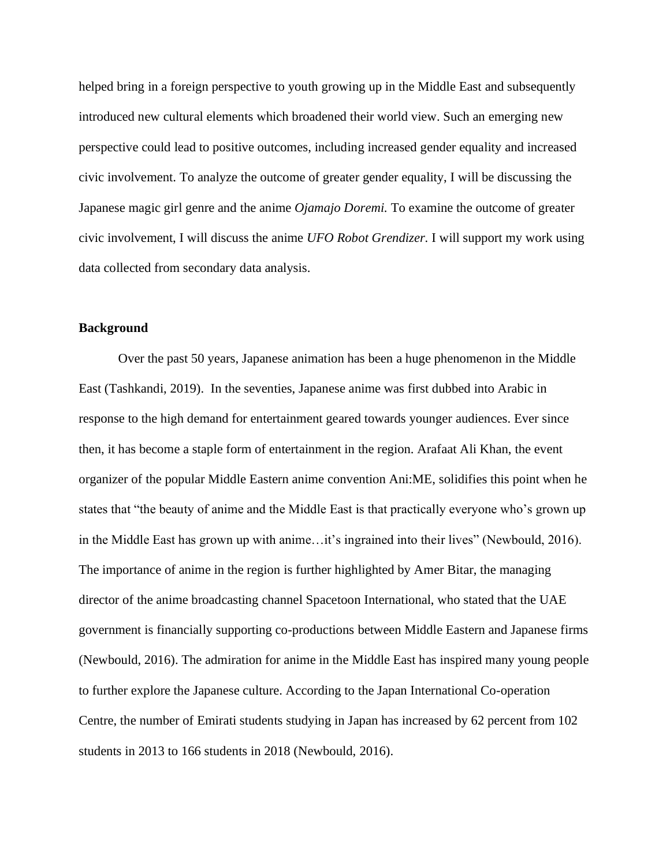helped bring in a foreign perspective to youth growing up in the Middle East and subsequently introduced new cultural elements which broadened their world view. Such an emerging new perspective could lead to positive outcomes, including increased gender equality and increased civic involvement. To analyze the outcome of greater gender equality, I will be discussing the Japanese magic girl genre and the anime *Ojamajo Doremi.* To examine the outcome of greater civic involvement, I will discuss the anime *UFO Robot Grendizer.* I will support my work using data collected from secondary data analysis.

# **Background**

Over the past 50 years, Japanese animation has been a huge phenomenon in the Middle East (Tashkandi, 2019). In the seventies, Japanese anime was first dubbed into Arabic in response to the high demand for entertainment geared towards younger audiences. Ever since then, it has become a staple form of entertainment in the region. Arafaat Ali Khan, the event organizer of the popular Middle Eastern anime convention Ani:ME, solidifies this point when he states that "the beauty of anime and the Middle East is that practically everyone who's grown up in the Middle East has grown up with anime…it's ingrained into their lives" (Newbould, 2016). The importance of anime in the region is further highlighted by Amer Bitar, the managing director of the anime broadcasting channel Spacetoon International, who stated that the UAE government is financially supporting co-productions between Middle Eastern and Japanese firms (Newbould, 2016). The admiration for anime in the Middle East has inspired many young people to further explore the Japanese culture. According to the Japan International Co-operation Centre, the number of Emirati students studying in Japan has increased by 62 percent from 102 students in 2013 to 166 students in 2018 (Newbould, 2016).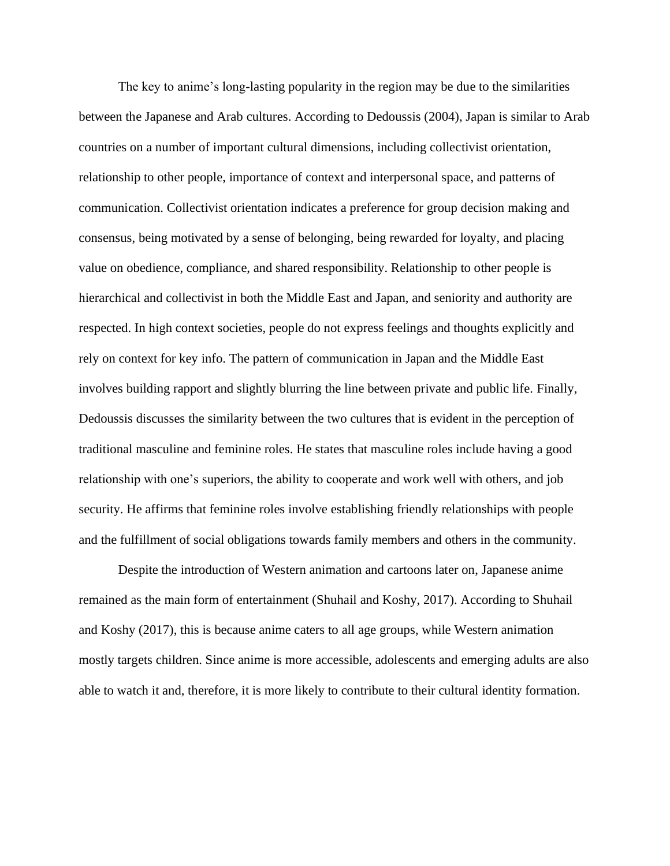The key to anime's long-lasting popularity in the region may be due to the similarities between the Japanese and Arab cultures. According to Dedoussis (2004), Japan is similar to Arab countries on a number of important cultural dimensions, including collectivist orientation, relationship to other people, importance of context and interpersonal space, and patterns of communication. Collectivist orientation indicates a preference for group decision making and consensus, being motivated by a sense of belonging, being rewarded for loyalty, and placing value on obedience, compliance, and shared responsibility. Relationship to other people is hierarchical and collectivist in both the Middle East and Japan, and seniority and authority are respected. In high context societies, people do not express feelings and thoughts explicitly and rely on context for key info. The pattern of communication in Japan and the Middle East involves building rapport and slightly blurring the line between private and public life. Finally, Dedoussis discusses the similarity between the two cultures that is evident in the perception of traditional masculine and feminine roles. He states that masculine roles include having a good relationship with one's superiors, the ability to cooperate and work well with others, and job security. He affirms that feminine roles involve establishing friendly relationships with people and the fulfillment of social obligations towards family members and others in the community.

Despite the introduction of Western animation and cartoons later on, Japanese anime remained as the main form of entertainment (Shuhail and Koshy, 2017). According to Shuhail and Koshy (2017), this is because anime caters to all age groups, while Western animation mostly targets children. Since anime is more accessible, adolescents and emerging adults are also able to watch it and, therefore, it is more likely to contribute to their cultural identity formation.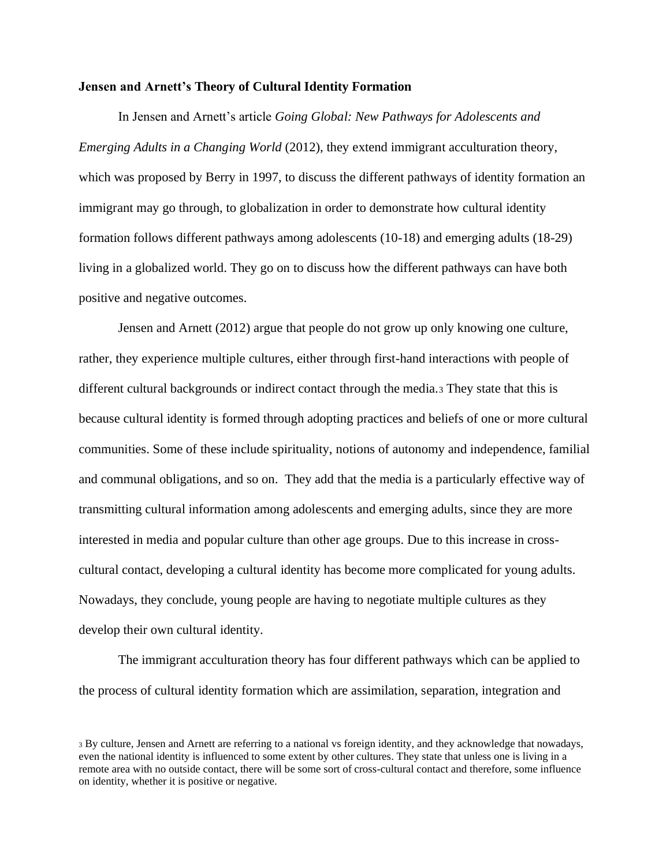#### **Jensen and Arnett's Theory of Cultural Identity Formation**

In Jensen and Arnett's article *Going Global: New Pathways for Adolescents and Emerging Adults in a Changing World* (2012), they extend immigrant acculturation theory, which was proposed by Berry in 1997, to discuss the different pathways of identity formation an immigrant may go through, to globalization in order to demonstrate how cultural identity formation follows different pathways among adolescents (10-18) and emerging adults (18-29) living in a globalized world. They go on to discuss how the different pathways can have both positive and negative outcomes.

Jensen and Arnett (2012) argue that people do not grow up only knowing one culture, rather, they experience multiple cultures, either through first-hand interactions with people of different cultural backgrounds or indirect contact through the media.<sup>3</sup> They state that this is because cultural identity is formed through adopting practices and beliefs of one or more cultural communities. Some of these include spirituality, notions of autonomy and independence, familial and communal obligations, and so on. They add that the media is a particularly effective way of transmitting cultural information among adolescents and emerging adults, since they are more interested in media and popular culture than other age groups. Due to this increase in crosscultural contact, developing a cultural identity has become more complicated for young adults. Nowadays, they conclude, young people are having to negotiate multiple cultures as they develop their own cultural identity.

The immigrant acculturation theory has four different pathways which can be applied to the process of cultural identity formation which are assimilation, separation, integration and

<sup>3</sup> By culture, Jensen and Arnett are referring to a national vs foreign identity, and they acknowledge that nowadays, even the national identity is influenced to some extent by other cultures. They state that unless one is living in a remote area with no outside contact, there will be some sort of cross-cultural contact and therefore, some influence on identity, whether it is positive or negative.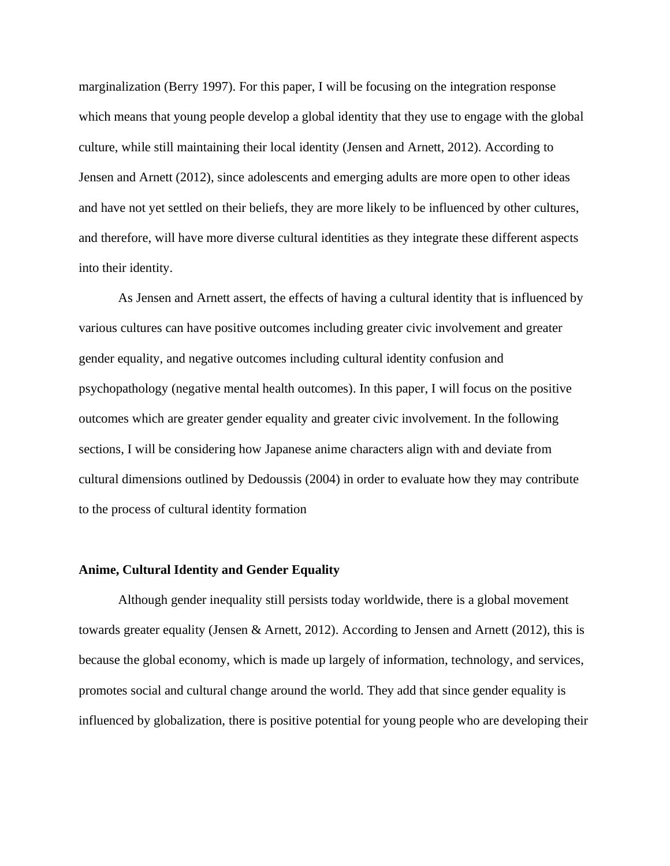marginalization (Berry 1997). For this paper, I will be focusing on the integration response which means that young people develop a global identity that they use to engage with the global culture, while still maintaining their local identity (Jensen and Arnett, 2012). According to Jensen and Arnett (2012), since adolescents and emerging adults are more open to other ideas and have not yet settled on their beliefs, they are more likely to be influenced by other cultures, and therefore, will have more diverse cultural identities as they integrate these different aspects into their identity.

As Jensen and Arnett assert, the effects of having a cultural identity that is influenced by various cultures can have positive outcomes including greater civic involvement and greater gender equality, and negative outcomes including cultural identity confusion and psychopathology (negative mental health outcomes). In this paper, I will focus on the positive outcomes which are greater gender equality and greater civic involvement. In the following sections, I will be considering how Japanese anime characters align with and deviate from cultural dimensions outlined by Dedoussis (2004) in order to evaluate how they may contribute to the process of cultural identity formation

#### **Anime, Cultural Identity and Gender Equality**

Although gender inequality still persists today worldwide, there is a global movement towards greater equality (Jensen & Arnett, 2012). According to Jensen and Arnett (2012), this is because the global economy, which is made up largely of information, technology, and services, promotes social and cultural change around the world. They add that since gender equality is influenced by globalization, there is positive potential for young people who are developing their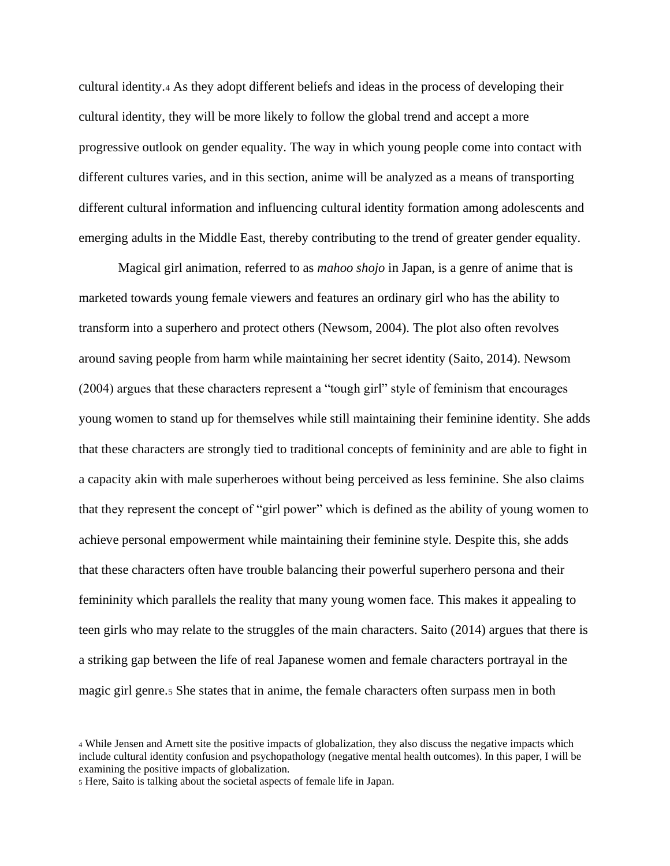cultural identity.<sup>4</sup> As they adopt different beliefs and ideas in the process of developing their cultural identity, they will be more likely to follow the global trend and accept a more progressive outlook on gender equality. The way in which young people come into contact with different cultures varies, and in this section, anime will be analyzed as a means of transporting different cultural information and influencing cultural identity formation among adolescents and emerging adults in the Middle East, thereby contributing to the trend of greater gender equality.

Magical girl animation, referred to as *mahoo shojo* in Japan, is a genre of anime that is marketed towards young female viewers and features an ordinary girl who has the ability to transform into a superhero and protect others (Newsom, 2004). The plot also often revolves around saving people from harm while maintaining her secret identity (Saito, 2014). Newsom (2004) argues that these characters represent a "tough girl" style of feminism that encourages young women to stand up for themselves while still maintaining their feminine identity. She adds that these characters are strongly tied to traditional concepts of femininity and are able to fight in a capacity akin with male superheroes without being perceived as less feminine. She also claims that they represent the concept of "girl power" which is defined as the ability of young women to achieve personal empowerment while maintaining their feminine style. Despite this, she adds that these characters often have trouble balancing their powerful superhero persona and their femininity which parallels the reality that many young women face. This makes it appealing to teen girls who may relate to the struggles of the main characters. Saito (2014) argues that there is a striking gap between the life of real Japanese women and female characters portrayal in the magic girl genre.<sup>5</sup> She states that in anime, the female characters often surpass men in both

<sup>4</sup> While Jensen and Arnett site the positive impacts of globalization, they also discuss the negative impacts which include cultural identity confusion and psychopathology (negative mental health outcomes). In this paper, I will be examining the positive impacts of globalization.

<sup>5</sup> Here, Saito is talking about the societal aspects of female life in Japan.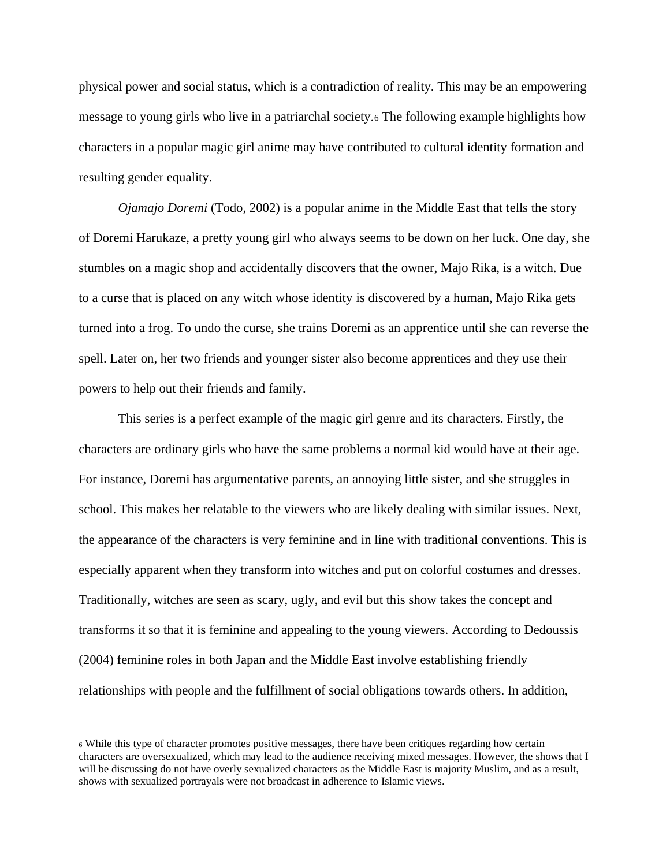physical power and social status, which is a contradiction of reality. This may be an empowering message to young girls who live in a patriarchal society.<sup>6</sup> The following example highlights how characters in a popular magic girl anime may have contributed to cultural identity formation and resulting gender equality.

*Ojamajo Doremi* (Todo, 2002) is a popular anime in the Middle East that tells the story of Doremi Harukaze, a pretty young girl who always seems to be down on her luck. One day, she stumbles on a magic shop and accidentally discovers that the owner, Majo Rika, is a witch. Due to a curse that is placed on any witch whose identity is discovered by a human, Majo Rika gets turned into a frog. To undo the curse, she trains Doremi as an apprentice until she can reverse the spell. Later on, her two friends and younger sister also become apprentices and they use their powers to help out their friends and family.

This series is a perfect example of the magic girl genre and its characters. Firstly, the characters are ordinary girls who have the same problems a normal kid would have at their age. For instance, Doremi has argumentative parents, an annoying little sister, and she struggles in school. This makes her relatable to the viewers who are likely dealing with similar issues. Next, the appearance of the characters is very feminine and in line with traditional conventions. This is especially apparent when they transform into witches and put on colorful costumes and dresses. Traditionally, witches are seen as scary, ugly, and evil but this show takes the concept and transforms it so that it is feminine and appealing to the young viewers. According to Dedoussis (2004) feminine roles in both Japan and the Middle East involve establishing friendly relationships with people and the fulfillment of social obligations towards others. In addition,

<sup>6</sup> While this type of character promotes positive messages, there have been critiques regarding how certain characters are oversexualized, which may lead to the audience receiving mixed messages. However, the shows that I will be discussing do not have overly sexualized characters as the Middle East is majority Muslim, and as a result, shows with sexualized portrayals were not broadcast in adherence to Islamic views.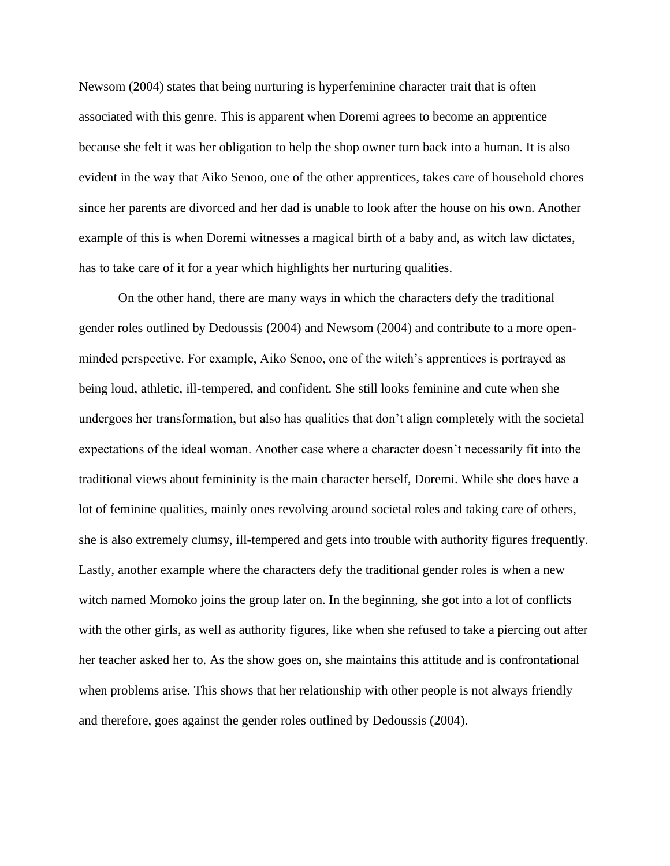Newsom (2004) states that being nurturing is hyperfeminine character trait that is often associated with this genre. This is apparent when Doremi agrees to become an apprentice because she felt it was her obligation to help the shop owner turn back into a human. It is also evident in the way that Aiko Senoo, one of the other apprentices, takes care of household chores since her parents are divorced and her dad is unable to look after the house on his own. Another example of this is when Doremi witnesses a magical birth of a baby and, as witch law dictates, has to take care of it for a year which highlights her nurturing qualities.

On the other hand, there are many ways in which the characters defy the traditional gender roles outlined by Dedoussis (2004) and Newsom (2004) and contribute to a more openminded perspective. For example, Aiko Senoo, one of the witch's apprentices is portrayed as being loud, athletic, ill-tempered, and confident. She still looks feminine and cute when she undergoes her transformation, but also has qualities that don't align completely with the societal expectations of the ideal woman. Another case where a character doesn't necessarily fit into the traditional views about femininity is the main character herself, Doremi. While she does have a lot of feminine qualities, mainly ones revolving around societal roles and taking care of others, she is also extremely clumsy, ill-tempered and gets into trouble with authority figures frequently. Lastly, another example where the characters defy the traditional gender roles is when a new witch named Momoko joins the group later on. In the beginning, she got into a lot of conflicts with the other girls, as well as authority figures, like when she refused to take a piercing out after her teacher asked her to. As the show goes on, she maintains this attitude and is confrontational when problems arise. This shows that her relationship with other people is not always friendly and therefore, goes against the gender roles outlined by Dedoussis (2004).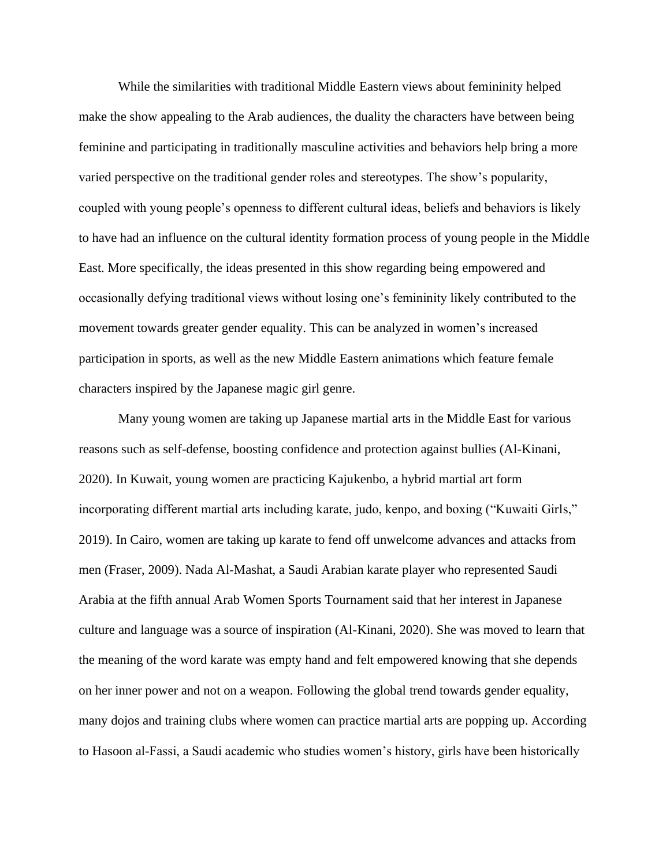While the similarities with traditional Middle Eastern views about femininity helped make the show appealing to the Arab audiences, the duality the characters have between being feminine and participating in traditionally masculine activities and behaviors help bring a more varied perspective on the traditional gender roles and stereotypes. The show's popularity, coupled with young people's openness to different cultural ideas, beliefs and behaviors is likely to have had an influence on the cultural identity formation process of young people in the Middle East. More specifically, the ideas presented in this show regarding being empowered and occasionally defying traditional views without losing one's femininity likely contributed to the movement towards greater gender equality. This can be analyzed in women's increased participation in sports, as well as the new Middle Eastern animations which feature female characters inspired by the Japanese magic girl genre.

Many young women are taking up Japanese martial arts in the Middle East for various reasons such as self-defense, boosting confidence and protection against bullies (Al-Kinani, 2020). In Kuwait, young women are practicing Kajukenbo, a hybrid martial art form incorporating different martial arts including karate, judo, kenpo, and boxing ("Kuwaiti Girls," 2019). In Cairo, women are taking up karate to fend off unwelcome advances and attacks from men (Fraser, 2009). Nada Al-Mashat, a Saudi Arabian karate player who represented Saudi Arabia at the fifth annual Arab Women Sports Tournament said that her interest in Japanese culture and language was a source of inspiration (Al-Kinani, 2020). She was moved to learn that the meaning of the word karate was empty hand and felt empowered knowing that she depends on her inner power and not on a weapon. Following the global trend towards gender equality, many dojos and training clubs where women can practice martial arts are popping up. According to Hasoon al-Fassi, a Saudi academic who studies women's history, girls have been historically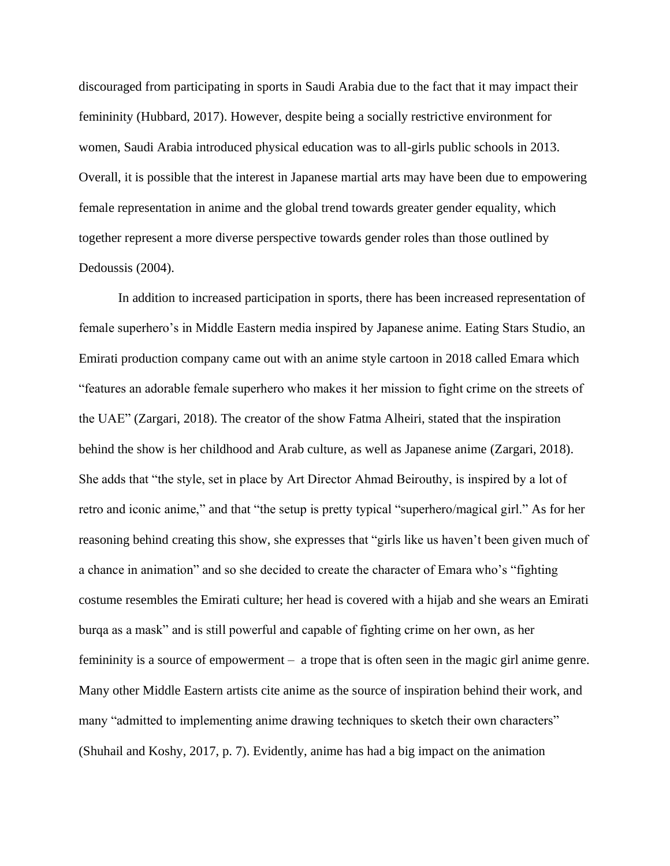discouraged from participating in sports in Saudi Arabia due to the fact that it may impact their femininity (Hubbard, 2017). However, despite being a socially restrictive environment for women, Saudi Arabia introduced physical education was to all-girls public schools in 2013. Overall, it is possible that the interest in Japanese martial arts may have been due to empowering female representation in anime and the global trend towards greater gender equality, which together represent a more diverse perspective towards gender roles than those outlined by Dedoussis (2004).

In addition to increased participation in sports, there has been increased representation of female superhero's in Middle Eastern media inspired by Japanese anime. Eating Stars Studio, an Emirati production company came out with an anime style cartoon in 2018 called Emara which "features an adorable female superhero who makes it her mission to fight crime on the streets of the UAE" (Zargari, 2018). The creator of the show Fatma Alheiri, stated that the inspiration behind the show is her childhood and Arab culture, as well as Japanese anime (Zargari, 2018). She adds that "the style, set in place by Art Director Ahmad Beirouthy, is inspired by a lot of retro and iconic anime," and that "the setup is pretty typical "superhero/magical girl." As for her reasoning behind creating this show, she expresses that "girls like us haven't been given much of a chance in animation" and so she decided to create the character of Emara who's "fighting costume resembles the Emirati culture; her head is covered with a hijab and she wears an Emirati burqa as a mask" and is still powerful and capable of fighting crime on her own, as her femininity is a source of empowerment – a trope that is often seen in the magic girl anime genre. Many other Middle Eastern artists cite anime as the source of inspiration behind their work, and many "admitted to implementing anime drawing techniques to sketch their own characters" (Shuhail and Koshy, 2017, p. 7). Evidently, anime has had a big impact on the animation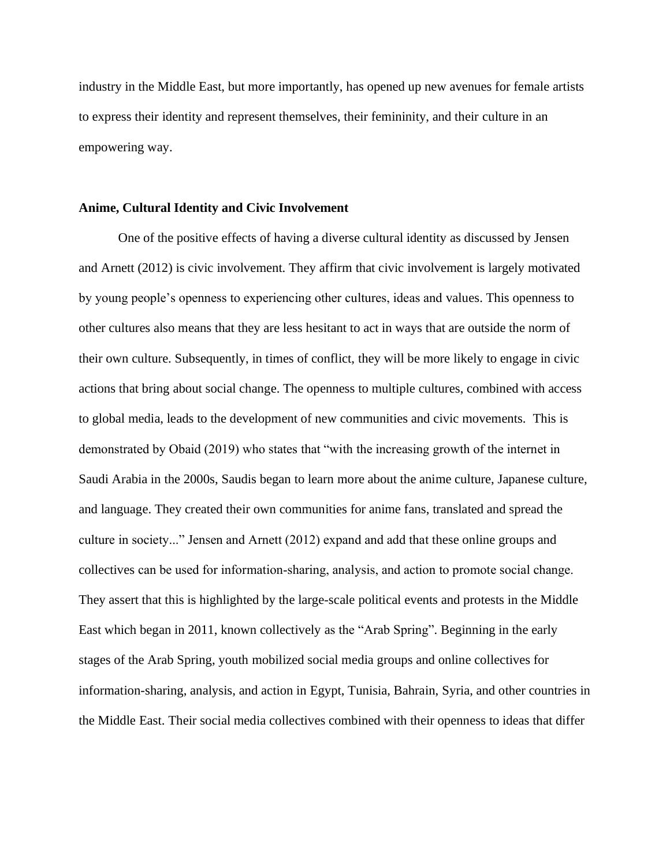industry in the Middle East, but more importantly, has opened up new avenues for female artists to express their identity and represent themselves, their femininity, and their culture in an empowering way.

#### **Anime, Cultural Identity and Civic Involvement**

One of the positive effects of having a diverse cultural identity as discussed by Jensen and Arnett (2012) is civic involvement. They affirm that civic involvement is largely motivated by young people's openness to experiencing other cultures, ideas and values. This openness to other cultures also means that they are less hesitant to act in ways that are outside the norm of their own culture. Subsequently, in times of conflict, they will be more likely to engage in civic actions that bring about social change. The openness to multiple cultures, combined with access to global media, leads to the development of new communities and civic movements. This is demonstrated by Obaid (2019) who states that "with the increasing growth of the internet in Saudi Arabia in the 2000s, Saudis began to learn more about the anime culture, Japanese culture, and language. They created their own communities for anime fans, translated and spread the culture in society..." Jensen and Arnett (2012) expand and add that these online groups and collectives can be used for information‐sharing, analysis, and action to promote social change. They assert that this is highlighted by the large-scale political events and protests in the Middle East which began in 2011, known collectively as the "Arab Spring". Beginning in the early stages of the Arab Spring, youth mobilized social media groups and online collectives for information-sharing, analysis, and action in Egypt, Tunisia, Bahrain, Syria, and other countries in the Middle East. Their social media collectives combined with their openness to ideas that differ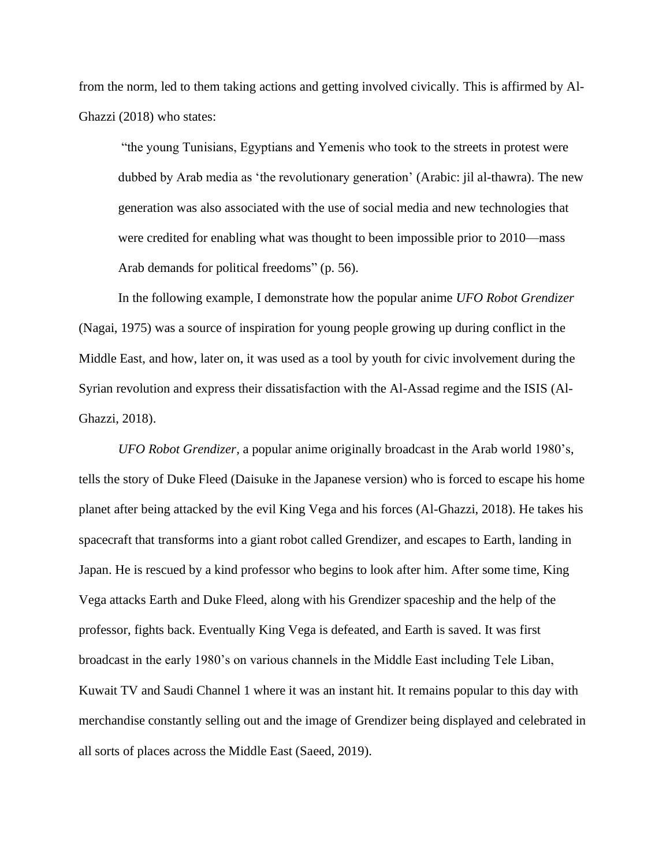from the norm, led to them taking actions and getting involved civically. This is affirmed by Al-Ghazzi (2018) who states:

"the young Tunisians, Egyptians and Yemenis who took to the streets in protest were dubbed by Arab media as 'the revolutionary generation' (Arabic: jil al-thawra). The new generation was also associated with the use of social media and new technologies that were credited for enabling what was thought to been impossible prior to 2010—mass Arab demands for political freedoms" (p. 56).

In the following example, I demonstrate how the popular anime *UFO Robot Grendizer* (Nagai, 1975) was a source of inspiration for young people growing up during conflict in the Middle East, and how, later on, it was used as a tool by youth for civic involvement during the Syrian revolution and express their dissatisfaction with the Al-Assad regime and the ISIS (Al-Ghazzi, 2018).

*UFO Robot Grendizer,* a popular anime originally broadcast in the Arab world 1980's, tells the story of Duke Fleed (Daisuke in the Japanese version) who is forced to escape his home planet after being attacked by the evil King Vega and his forces (Al-Ghazzi, 2018). He takes his spacecraft that transforms into a giant robot called Grendizer, and escapes to Earth, landing in Japan. He is rescued by a kind professor who begins to look after him. After some time, King Vega attacks Earth and Duke Fleed, along with his Grendizer spaceship and the help of the professor, fights back. Eventually King Vega is defeated, and Earth is saved. It was first broadcast in the early 1980's on various channels in the Middle East including Tele Liban, Kuwait TV and Saudi Channel 1 where it was an instant hit. It remains popular to this day with merchandise constantly selling out and the image of Grendizer being displayed and celebrated in all sorts of places across the Middle East (Saeed, 2019).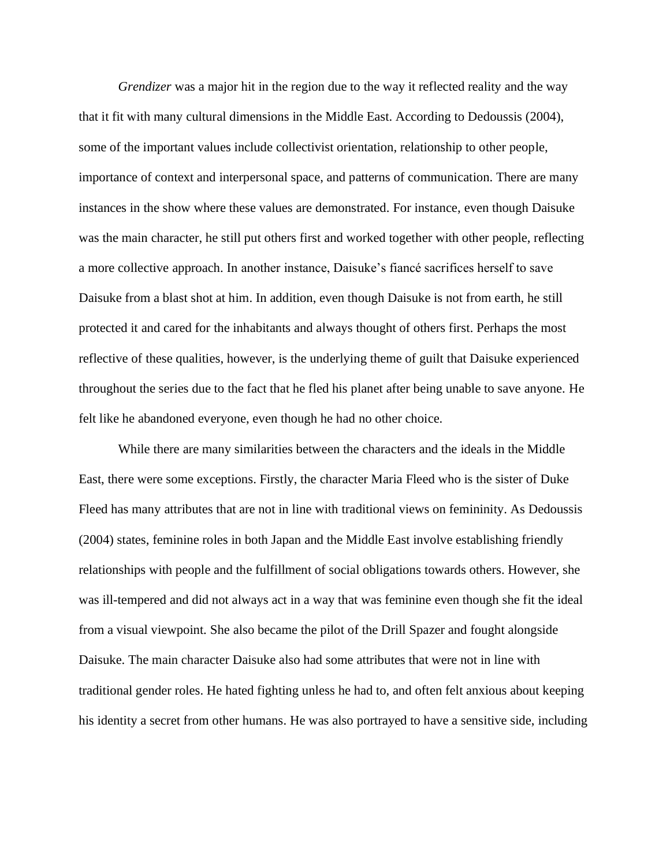*Grendizer* was a major hit in the region due to the way it reflected reality and the way that it fit with many cultural dimensions in the Middle East. According to Dedoussis (2004), some of the important values include collectivist orientation, relationship to other people, importance of context and interpersonal space, and patterns of communication. There are many instances in the show where these values are demonstrated. For instance, even though Daisuke was the main character, he still put others first and worked together with other people, reflecting a more collective approach. In another instance, Daisuke's fiancé sacrifices herself to save Daisuke from a blast shot at him. In addition, even though Daisuke is not from earth, he still protected it and cared for the inhabitants and always thought of others first. Perhaps the most reflective of these qualities, however, is the underlying theme of guilt that Daisuke experienced throughout the series due to the fact that he fled his planet after being unable to save anyone. He felt like he abandoned everyone, even though he had no other choice.

While there are many similarities between the characters and the ideals in the Middle East, there were some exceptions. Firstly, the character Maria Fleed who is the sister of Duke Fleed has many attributes that are not in line with traditional views on femininity. As Dedoussis (2004) states, feminine roles in both Japan and the Middle East involve establishing friendly relationships with people and the fulfillment of social obligations towards others. However, she was ill-tempered and did not always act in a way that was feminine even though she fit the ideal from a visual viewpoint. She also became the pilot of the Drill Spazer and fought alongside Daisuke. The main character Daisuke also had some attributes that were not in line with traditional gender roles. He hated fighting unless he had to, and often felt anxious about keeping his identity a secret from other humans. He was also portrayed to have a sensitive side, including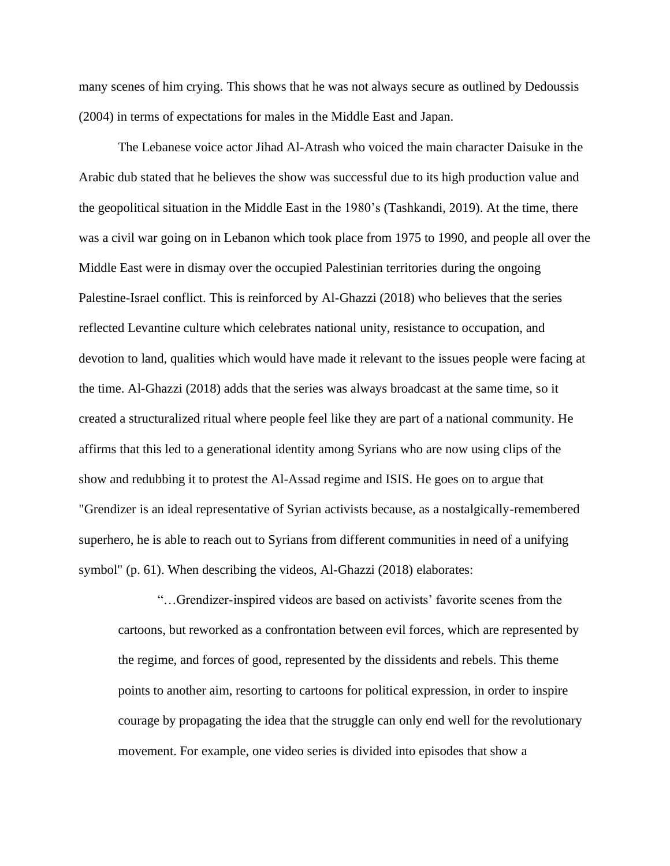many scenes of him crying. This shows that he was not always secure as outlined by Dedoussis (2004) in terms of expectations for males in the Middle East and Japan.

The Lebanese voice actor Jihad Al-Atrash who voiced the main character Daisuke in the Arabic dub stated that he believes the show was successful due to its high production value and the geopolitical situation in the Middle East in the 1980's (Tashkandi, 2019). At the time, there was a civil war going on in Lebanon which took place from 1975 to 1990, and people all over the Middle East were in dismay over the occupied Palestinian territories during the ongoing Palestine-Israel conflict. This is reinforced by Al-Ghazzi (2018) who believes that the series reflected Levantine culture which celebrates national unity, resistance to occupation, and devotion to land, qualities which would have made it relevant to the issues people were facing at the time. Al-Ghazzi (2018) adds that the series was always broadcast at the same time, so it created a structuralized ritual where people feel like they are part of a national community. He affirms that this led to a generational identity among Syrians who are now using clips of the show and redubbing it to protest the Al-Assad regime and ISIS. He goes on to argue that "Grendizer is an ideal representative of Syrian activists because, as a nostalgically-remembered superhero, he is able to reach out to Syrians from different communities in need of a unifying symbol" (p. 61). When describing the videos, Al-Ghazzi (2018) elaborates:

"…Grendizer-inspired videos are based on activists' favorite scenes from the cartoons, but reworked as a confrontation between evil forces, which are represented by the regime, and forces of good, represented by the dissidents and rebels. This theme points to another aim, resorting to cartoons for political expression, in order to inspire courage by propagating the idea that the struggle can only end well for the revolutionary movement. For example, one video series is divided into episodes that show a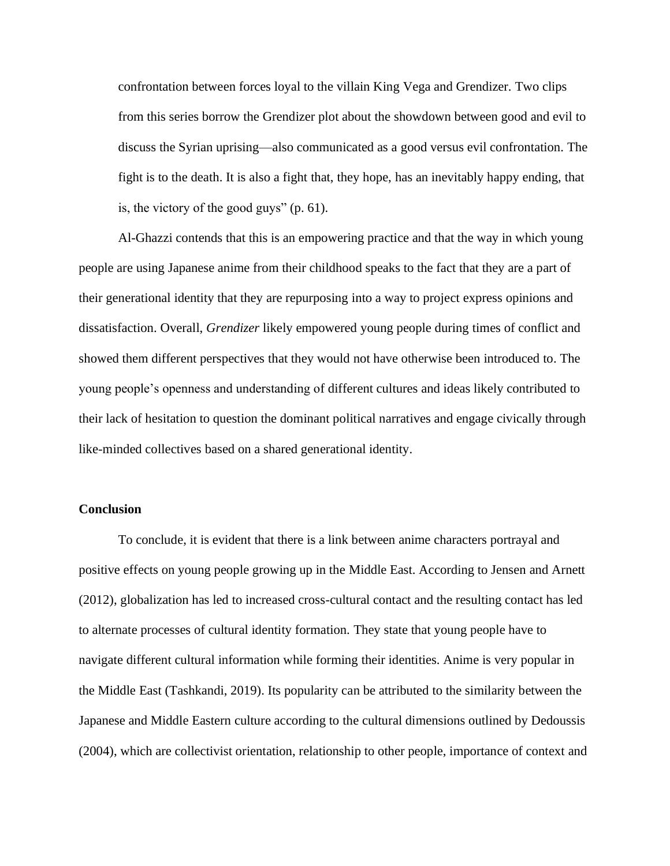confrontation between forces loyal to the villain King Vega and Grendizer. Two clips from this series borrow the Grendizer plot about the showdown between good and evil to discuss the Syrian uprising—also communicated as a good versus evil confrontation. The fight is to the death. It is also a fight that, they hope, has an inevitably happy ending, that is, the victory of the good guys" (p. 61).

Al-Ghazzi contends that this is an empowering practice and that the way in which young people are using Japanese anime from their childhood speaks to the fact that they are a part of their generational identity that they are repurposing into a way to project express opinions and dissatisfaction. Overall, *Grendizer* likely empowered young people during times of conflict and showed them different perspectives that they would not have otherwise been introduced to. The young people's openness and understanding of different cultures and ideas likely contributed to their lack of hesitation to question the dominant political narratives and engage civically through like-minded collectives based on a shared generational identity.

# **Conclusion**

To conclude, it is evident that there is a link between anime characters portrayal and positive effects on young people growing up in the Middle East. According to Jensen and Arnett (2012), globalization has led to increased cross-cultural contact and the resulting contact has led to alternate processes of cultural identity formation. They state that young people have to navigate different cultural information while forming their identities. Anime is very popular in the Middle East (Tashkandi, 2019). Its popularity can be attributed to the similarity between the Japanese and Middle Eastern culture according to the cultural dimensions outlined by Dedoussis (2004), which are collectivist orientation, relationship to other people, importance of context and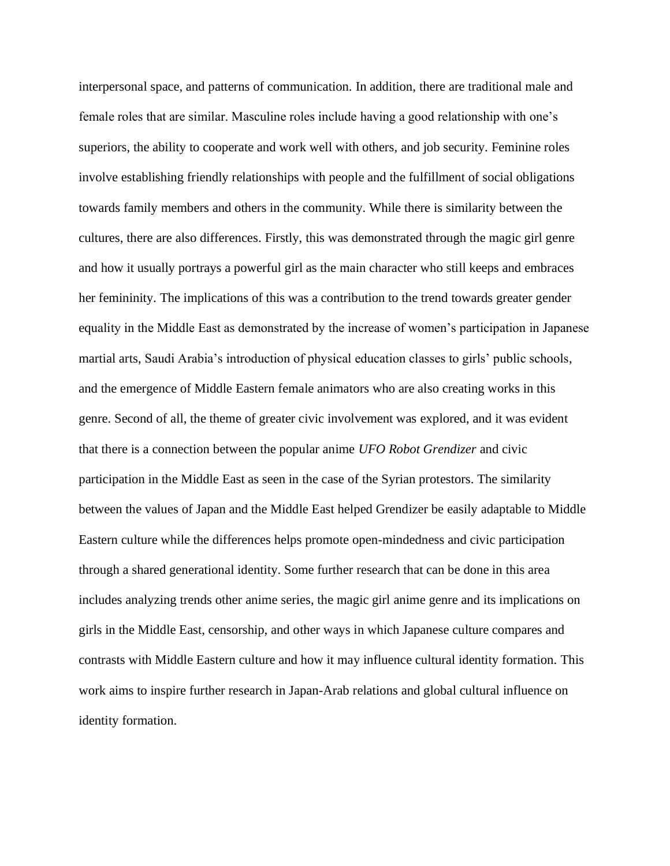interpersonal space, and patterns of communication. In addition, there are traditional male and female roles that are similar. Masculine roles include having a good relationship with one's superiors, the ability to cooperate and work well with others, and job security. Feminine roles involve establishing friendly relationships with people and the fulfillment of social obligations towards family members and others in the community. While there is similarity between the cultures, there are also differences. Firstly, this was demonstrated through the magic girl genre and how it usually portrays a powerful girl as the main character who still keeps and embraces her femininity. The implications of this was a contribution to the trend towards greater gender equality in the Middle East as demonstrated by the increase of women's participation in Japanese martial arts, Saudi Arabia's introduction of physical education classes to girls' public schools, and the emergence of Middle Eastern female animators who are also creating works in this genre. Second of all, the theme of greater civic involvement was explored, and it was evident that there is a connection between the popular anime *UFO Robot Grendizer* and civic participation in the Middle East as seen in the case of the Syrian protestors. The similarity between the values of Japan and the Middle East helped Grendizer be easily adaptable to Middle Eastern culture while the differences helps promote open-mindedness and civic participation through a shared generational identity. Some further research that can be done in this area includes analyzing trends other anime series, the magic girl anime genre and its implications on girls in the Middle East, censorship, and other ways in which Japanese culture compares and contrasts with Middle Eastern culture and how it may influence cultural identity formation. This work aims to inspire further research in Japan-Arab relations and global cultural influence on identity formation.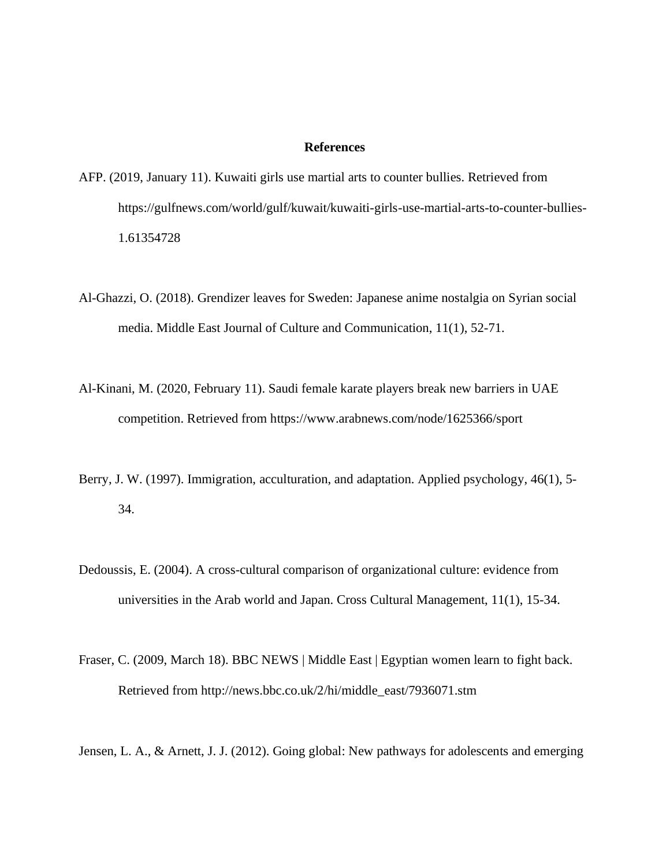#### **References**

- AFP. (2019, January 11). Kuwaiti girls use martial arts to counter bullies. Retrieved from https://gulfnews.com/world/gulf/kuwait/kuwaiti-girls-use-martial-arts-to-counter-bullies-1.61354728
- Al-Ghazzi, O. (2018). Grendizer leaves for Sweden: Japanese anime nostalgia on Syrian social media. Middle East Journal of Culture and Communication, 11(1), 52-71.
- Al-Kinani, M. (2020, February 11). Saudi female karate players break new barriers in UAE competition. Retrieved from https://www.arabnews.com/node/1625366/sport
- Berry, J. W. (1997). Immigration, acculturation, and adaptation. Applied psychology, 46(1), 5-34.
- Dedoussis, E. (2004). A cross-cultural comparison of organizational culture: evidence from universities in the Arab world and Japan. Cross Cultural Management, 11(1), 15-34.
- Fraser, C. (2009, March 18). BBC NEWS | Middle East | Egyptian women learn to fight back. Retrieved from http://news.bbc.co.uk/2/hi/middle\_east/7936071.stm

Jensen, L. A., & Arnett, J. J. (2012). Going global: New pathways for adolescents and emerging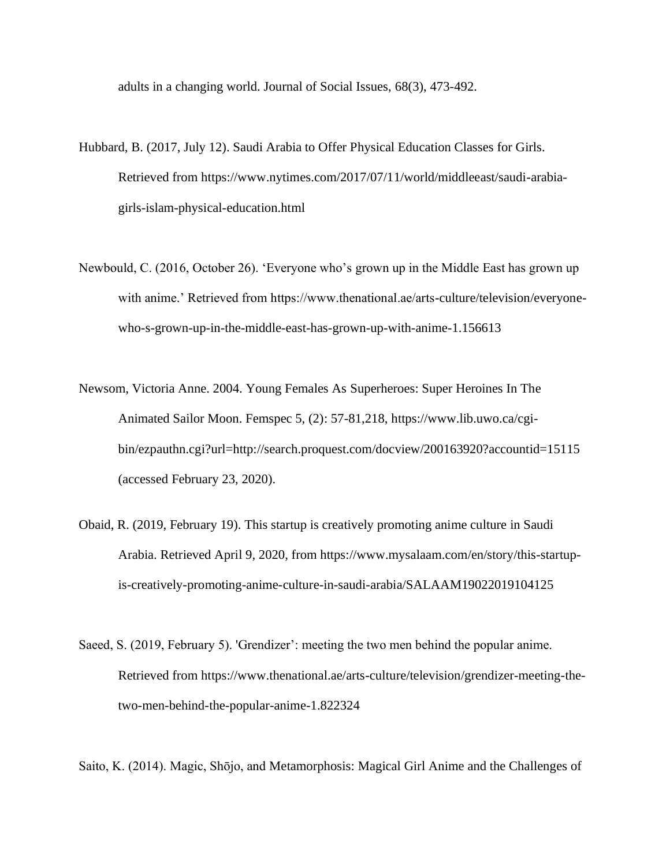adults in a changing world. Journal of Social Issues, 68(3), 473-492.

- Hubbard, B. (2017, July 12). Saudi Arabia to Offer Physical Education Classes for Girls. Retrieved from https://www.nytimes.com/2017/07/11/world/middleeast/saudi-arabiagirls-islam-physical-education.html
- Newbould, C. (2016, October 26). 'Everyone who's grown up in the Middle East has grown up with anime.' Retrieved from https://www.thenational.ae/arts-culture/television/everyonewho-s-grown-up-in-the-middle-east-has-grown-up-with-anime-1.156613
- Newsom, Victoria Anne. 2004. Young Females As Superheroes: Super Heroines In The Animated Sailor Moon. Femspec 5, (2): 57-81,218, https://www.lib.uwo.ca/cgibin/ezpauthn.cgi?url=http://search.proquest.com/docview/200163920?accountid=15115 (accessed February 23, 2020).
- Obaid, R. (2019, February 19). This startup is creatively promoting anime culture in Saudi Arabia. Retrieved April 9, 2020, from https://www.mysalaam.com/en/story/this-startupis-creatively-promoting-anime-culture-in-saudi-arabia/SALAAM19022019104125
- Saeed, S. (2019, February 5). 'Grendizer': meeting the two men behind the popular anime. Retrieved from https://www.thenational.ae/arts-culture/television/grendizer-meeting-thetwo-men-behind-the-popular-anime-1.822324

Saito, K. (2014). Magic, Shōjo, and Metamorphosis: Magical Girl Anime and the Challenges of